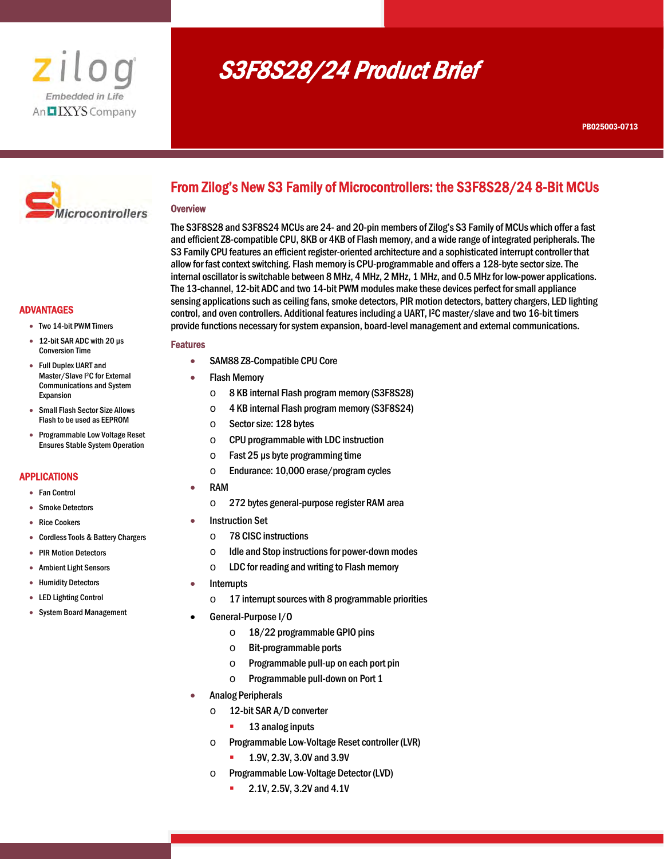

# S3F8S28/24 Product Brief



# From Zilog's New S3 Family of Microcontrollers: the S3F8S28/24 8-Bit MCUs

#### **Overview**

I

The S3F8S28 and S3F8S24 MCUs are 24- and 20-pin members of Zilog's S3 Family of MCUs which offer a fast and efficient Z8-compatible CPU, 8KB or 4KB of Flash memory, and a wide range of integrated peripherals. The S3 Family CPU features an efficient register-oriented architecture and a sophisticated interrupt controller that allow for fast context switching. Flash memory is CPU-programmable and offers a 128-byte sector size. The internal oscillator is switchable between 8 MHz, 4 MHz, 2 MHz, 1 MHz, and 0.5 MHz for low-power applications. The 13-channel, 12-bit ADC and two 14-bit PWM modules make these devices perfect for small appliance sensing applications such as ceiling fans, smoke detectors, PIR motion detectors, battery chargers, LED lighting control, and oven controllers. Additional features including a UART, I2C master/slave and two 16-bit timers provide functions necessary for system expansion, board-level management and external communications.

#### Features

- SAM88 Z8-Compatible CPU Core
- Flash Memory
	- o 8 KB internal Flash program memory (S3F8S28)
	- o 4 KB internal Flash program memory (S3F8S24)
	- o Sector size: 128 bytes
	- o CPU programmable with LDC instruction
	- $\circ$  Fast 25 µs byte programming time
	- o Endurance: 10,000 erase/program cycles
- RAM
	- o 272 bytes general-purpose register RAM area
- Instruction Set
	- o 78 CISC instructions
	- o Idle and Stop instructions for power-down modes
	- o LDC for reading and writing to Flash memory
	- Interrupts
		- $\circ$  17 interrupt sources with 8 programmable priorities
- General-Purpose I/O
	- o 18/22 programmable GPIO pins
	- o Bit-programmable ports
	- o Programmable pull-up on each port pin
	- o Programmable pull-down on Port 1
- Analog Peripherals
	- o 12-bit SAR A/D converter
		- **13 analog inputs**
	- o Programmable Low-Voltage Reset controller (LVR)
		- **1.9V, 2.3V, 3.0V and 3.9V**
	- o Programmable Low-Voltage Detector (LVD)
		- 2.1V, 2.5V, 3.2V and 4.1V

## ADVANTAGES

- Two 14-bit PWM Timers
- 12-bit SAR ADC with 20 µs Conversion Time
- Full Duplex UART and Master/Slave I2C for External Communications and System Expansion
- Small Flash Sector Size Allows Flash to be used as EEPROM
- Programmable Low Voltage Reset Ensures Stable System Operation

### APPLICATIONS

- Fan Control
- **•** Smoke Detectors
- Rice Cookers
- Cordless Tools & Battery Chargers
- PIR Motion Detectors
- Ambient Light Sensors
- Humidity Detectors
- LED Lighting Control
- System Board Management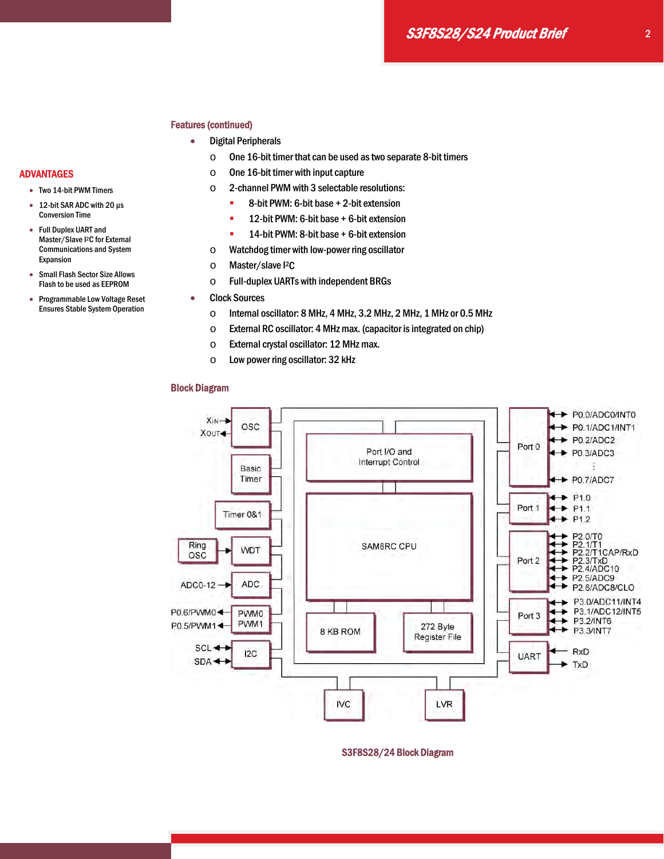#### Features (continued)

- Digital Peripherals
	- $\circ$  One 16-bit timer that can be used as two separate 8-bit timers
	- $\circ$  One 16-bit timer with input capture
	- o 2-channel PWM with 3 selectable resolutions:
		- 8-bit PWM: 6-bit base + 2-bit extension
		- **12-bit PWM: 6-bit base + 6-bit extension**
		- **14-bit PWM: 8-bit base + 6-bit extension**
	- o Watchdog timer with low-power ring oscillator
	- o Master/slave I2C
	- o Full-duplex UARTs with independent BRGs
	- Clock Sources
		- o Internal oscillator: 8 MHz, 4 MHz, 3.2 MHz, 2 MHz, 1 MHz or 0.5 MHz
		- o External RC oscillator: 4 MHz max. (capacitor is integrated on chip)
		- o External crystal oscillator: 12 MHz max.
		- o Low power ring oscillator: 32 kHz

#### Block Diagram



S3F8S28/24 Block Diagram

# ADVANTAGES

- Two 14-bit PWM Timers
- 12-bit SAR ADC with 20 µs Conversion Time
- Full Duplex UART and Master/Slave I2C for External Communications and System Expansion
- Small Flash Sector Size Allows Flash to be used as EEPROM
- Programmable Low Voltage Reset Ensures Stable System Operation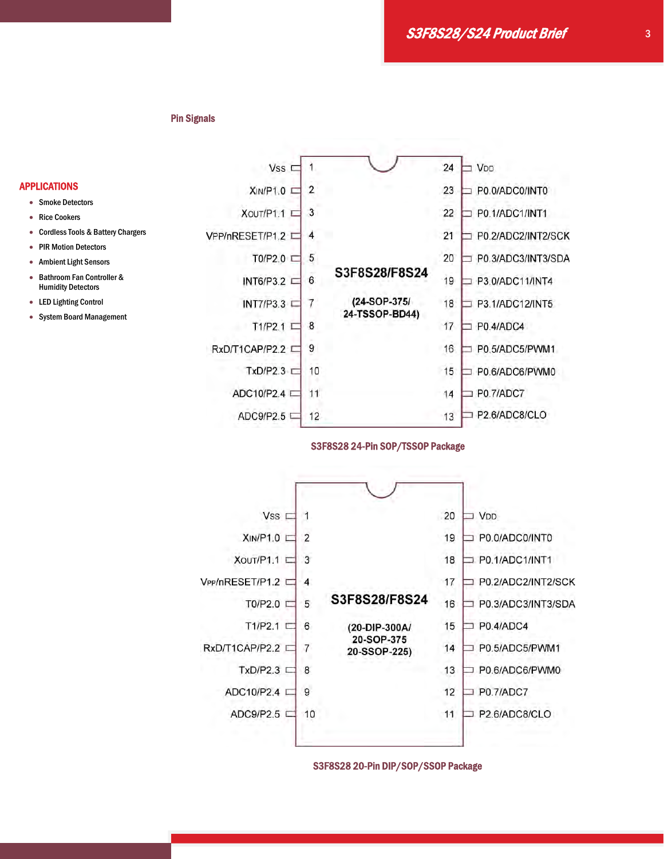S3F8S28/S24 Product Brief

#### Pin Signals

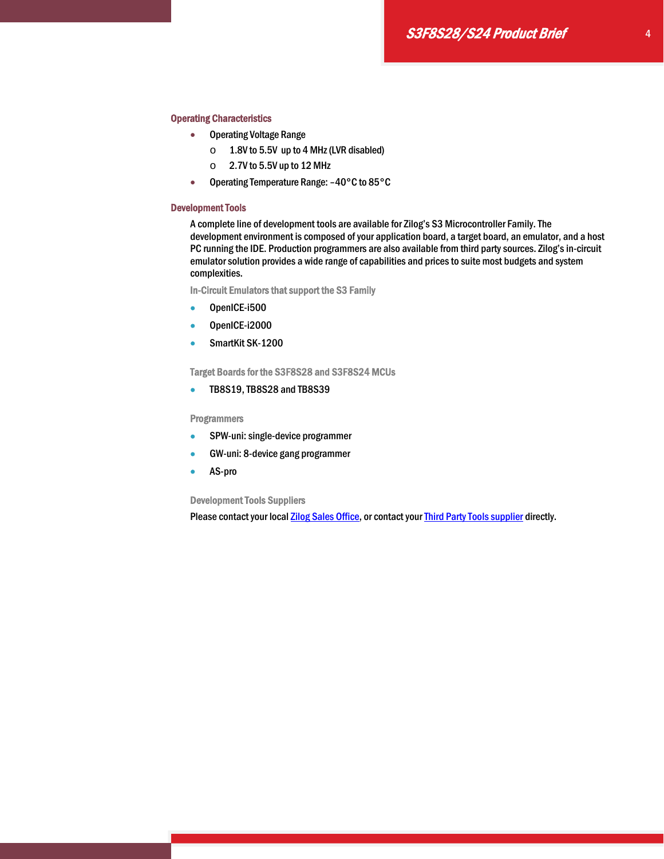#### Operating Characteristics

- Operating Voltage Range
	- o 1.8V to 5.5V up to 4 MHz (LVR disabled)
	- $\circ$  2.7V to 5.5V up to 12 MHz
- Operating Temperature Range: –40°C to 85°C

#### Development Tools

A complete line of development tools are available for Zilog's S3 Microcontroller Family. The development environment is composed of your application board, a target board, an emulator, and a host PC running the IDE. Production programmers are also available from third party sources. Zilog's in-circuit emulator solution provides a wide range of capabilities and prices to suite most budgets and system complexities.

In-Circuit Emulators that support the S3 Family

- OpenICE-i500
- OpenICE-i2000
- SmartKit SK-1200

Target Boards for the S3F8S28 and S3F8S24 MCUs

**TB8S19, TB8S28 and TB8S39** 

Programmers

- SPW-uni: single-device programmer
- GW-uni: 8-device gang programmer
- AS-pro

Development Tools Suppliers

Please contact your local **Zilog Sales Office**, or contact your **Third Party Tools supplier** directly.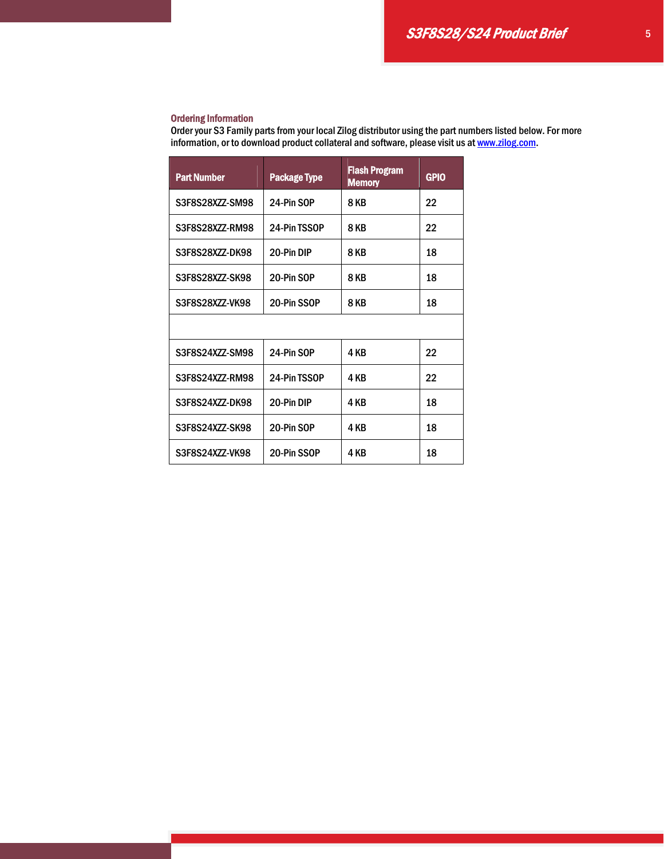## Ordering Information

Order your S3 Family parts from your local Zilog distributor using the part numbers listed below. For more information, or to download product collateral and software, please visit us at www.zilog.com.

| <b>Part Number</b> | <b>Package Type</b> | <b>Flash Program</b><br><b>Memory</b> | <b>GPIO</b> |  |
|--------------------|---------------------|---------------------------------------|-------------|--|
| S3F8S28XZZ-SM98    | 24-Pin SOP          | <b>8 KB</b>                           | 22          |  |
| S3F8S28XZZ-RM98    | 24-Pin TSSOP        | <b>8 KB</b>                           | 22          |  |
| S3F8S28XZZ-DK98    | 20-Pin DIP          | <b>8 KB</b>                           | 18          |  |
| S3F8S28XZZ-SK98    | 20-Pin SOP          | <b>8 KB</b>                           | 18          |  |
| S3F8S28XZZ-VK98    | 20-Pin SSOP         | <b>8 KB</b>                           | 18          |  |
|                    |                     |                                       |             |  |
| S3F8S24XZZ-SM98    | 24-Pin SOP          | 4 KB                                  | 22          |  |
| S3F8S24XZZ-RM98    | 24-Pin TSSOP        | 4 KB                                  | 22          |  |
| S3F8S24XZZ-DK98    | 20-Pin DIP          | 4 KB                                  | 18          |  |
| S3F8S24XZZ-SK98    | 20-Pin SOP          | 4 KB                                  | 18          |  |
| S3F8S24XZZ-VK98    | 20-Pin SSOP         | 4 KB                                  | 18          |  |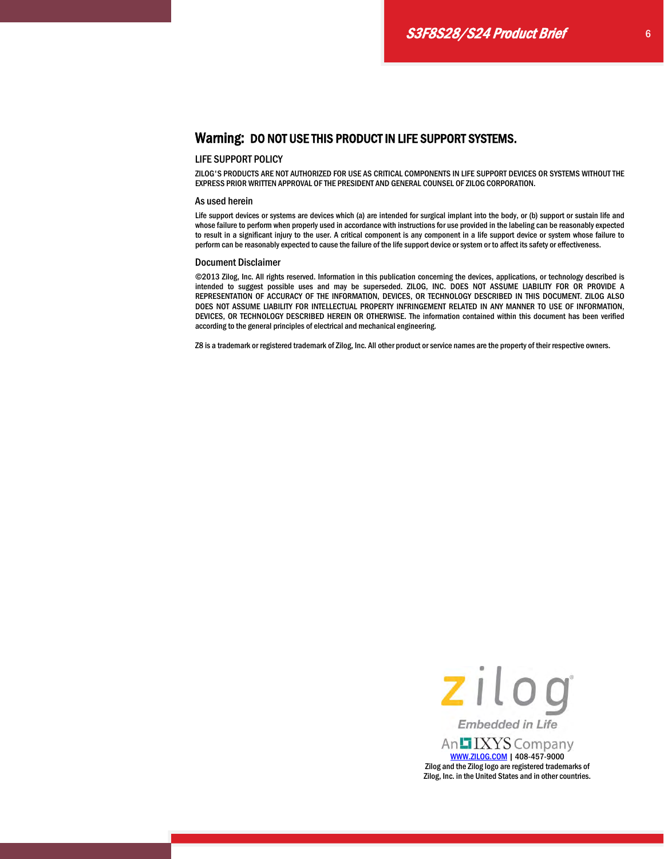# Warning: DO NOT USE THIS PRODUCT IN LIFE SUPPORT SYSTEMS.

#### LIFE SUPPORT POLICY

ZILOG'S PRODUCTS ARE NOT AUTHORIZED FOR USE AS CRITICAL COMPONENTS IN LIFE SUPPORT DEVICES OR SYSTEMS WITHOUT THE EXPRESS PRIOR WRITTEN APPROVAL OF THE PRESIDENT AND GENERAL COUNSEL OF ZILOG CORPORATION.

#### As used herein

Life support devices or systems are devices which (a) are intended for surgical implant into the body, or (b) support or sustain life and whose failure to perform when properly used in accordance with instructions for use provided in the labeling can be reasonably expected to result in a significant injury to the user. A critical component is any component in a life support device or system whose failure to perform can be reasonably expected to cause the failure of the life support device or system or to affect its safety or effectiveness.

#### Document Disclaimer

©2013 Zilog, Inc. All rights reserved. Information in this publication concerning the devices, applications, or technology described is intended to suggest possible uses and may be superseded. ZILOG, INC. DOES NOT ASSUME LIABILITY FOR OR PROVIDE A REPRESENTATION OF ACCURACY OF THE INFORMATION, DEVICES, OR TECHNOLOGY DESCRIBED IN THIS DOCUMENT. ZILOG ALSO DOES NOT ASSUME LIABILITY FOR INTELLECTUAL PROPERTY INFRINGEMENT RELATED IN ANY MANNER TO USE OF INFORMATION, DEVICES, OR TECHNOLOGY DESCRIBED HEREIN OR OTHERWISE. The information contained within this document has been verified according to the general principles of electrical and mechanical engineering.

Z8 is a trademark or registered trademark of Zilog, Inc. All other product or service names are the property of their respective owners.